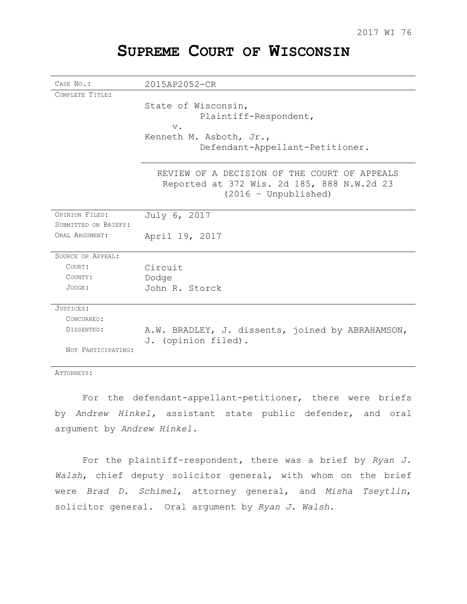# **SUPREME COURT OF WISCONSIN**

| CASE No.:            | 2015AP2052-CR                                                           |
|----------------------|-------------------------------------------------------------------------|
| COMPLETE TITLE:      |                                                                         |
|                      | State of Wisconsin,                                                     |
|                      | Plaintiff-Respondent,                                                   |
|                      | $V$ .                                                                   |
|                      | Kenneth M. Asboth, Jr.,                                                 |
|                      | Defendant-Appellant-Petitioner.                                         |
|                      | REVIEW OF A DECISION OF THE COURT OF APPEALS                            |
|                      | Reported at 372 Wis. 2d 185, 888 N.W.2d 23                              |
|                      | $(2016 - Unpublished)$                                                  |
|                      |                                                                         |
| OPINION FILED:       | July 6, 2017                                                            |
| SUBMITTED ON BRIEFS: |                                                                         |
| ORAL ARGUMENT:       | April 19, 2017                                                          |
| SOURCE OF APPEAL:    |                                                                         |
| COURT:               | Circuit                                                                 |
| COUNTY:              | Dodge                                                                   |
| JUDGE:               | John R. Storck                                                          |
|                      |                                                                         |
| JUSTICES:            |                                                                         |
| CONCURRED:           |                                                                         |
| DISSENTED:           | A.W. BRADLEY, J. dissents, joined by ABRAHAMSON,<br>J. (opinion filed). |
| NOT PARTICIPATING:   |                                                                         |

ATTORNEYS:

For the defendant-appellant-petitioner, there were briefs by *Andrew Hinkel,* assistant state public defender, and oral argument by *Andrew Hinkel.*

For the plaintiff-respondent, there was a brief by *Ryan J. Walsh*, chief deputy solicitor general, with whom on the brief were *Brad D. Schimel*, attorney general, and *Misha Tseytlin*, solicitor general. Oral argument by *Ryan J. Walsh*.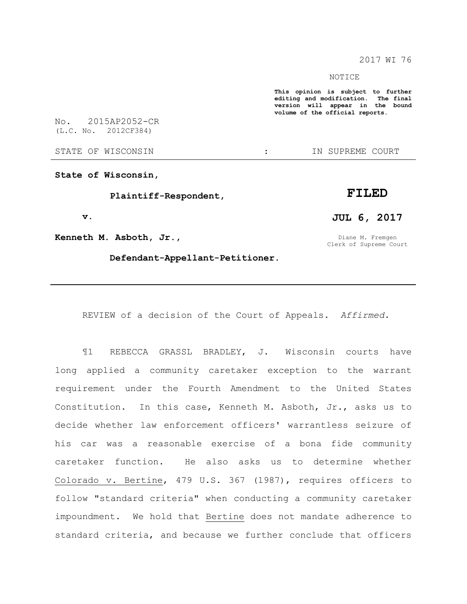2017 WI 76

NOTICE

**This opinion is subject to further editing and modification. The final version will appear in the bound volume of the official reports.** 

No. 2015AP2052-CR (L.C. No. 2012CF384)

STATE OF WISCONSIN THE STATE OF STATE OF WISCONSIN

**State of Wisconsin,**

 **Plaintiff-Respondent,**

 **v.**

**Kenneth M. Asboth, Jr.,**

 **Defendant-Appellant-Petitioner.**

**JUL 6, 2017** Diane M. Fremgen

**FILED**

Clerk of Supreme Court

REVIEW of a decision of the Court of Appeals. *Affirmed.*

¶1 REBECCA GRASSL BRADLEY, J. Wisconsin courts have long applied a community caretaker exception to the warrant requirement under the Fourth Amendment to the United States Constitution. In this case, Kenneth M. Asboth, Jr., asks us to decide whether law enforcement officers' warrantless seizure of his car was a reasonable exercise of a bona fide community caretaker function. He also asks us to determine whether Colorado v. Bertine, 479 U.S. 367 (1987), requires officers to follow "standard criteria" when conducting a community caretaker impoundment. We hold that Bertine does not mandate adherence to standard criteria, and because we further conclude that officers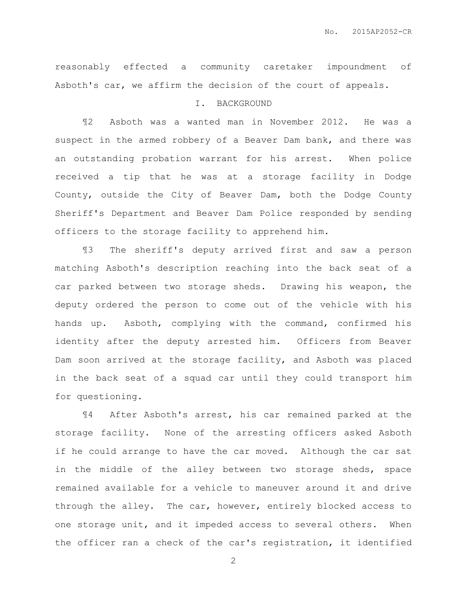reasonably effected a community caretaker impoundment of Asboth's car, we affirm the decision of the court of appeals.

## I. BACKGROUND

¶2 Asboth was a wanted man in November 2012. He was a suspect in the armed robbery of a Beaver Dam bank, and there was an outstanding probation warrant for his arrest. When police received a tip that he was at a storage facility in Dodge County, outside the City of Beaver Dam, both the Dodge County Sheriff's Department and Beaver Dam Police responded by sending officers to the storage facility to apprehend him.

¶3 The sheriff's deputy arrived first and saw a person matching Asboth's description reaching into the back seat of a car parked between two storage sheds. Drawing his weapon, the deputy ordered the person to come out of the vehicle with his hands up. Asboth, complying with the command, confirmed his identity after the deputy arrested him. Officers from Beaver Dam soon arrived at the storage facility, and Asboth was placed in the back seat of a squad car until they could transport him for questioning.

¶4 After Asboth's arrest, his car remained parked at the storage facility. None of the arresting officers asked Asboth if he could arrange to have the car moved. Although the car sat in the middle of the alley between two storage sheds, space remained available for a vehicle to maneuver around it and drive through the alley. The car, however, entirely blocked access to one storage unit, and it impeded access to several others. When the officer ran a check of the car's registration, it identified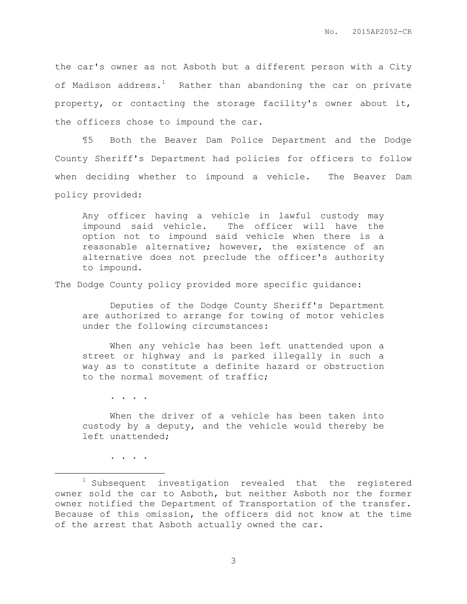the car's owner as not Asboth but a different person with a City of Madison address.<sup>1</sup> Rather than abandoning the car on private property, or contacting the storage facility's owner about it, the officers chose to impound the car.

¶5 Both the Beaver Dam Police Department and the Dodge County Sheriff's Department had policies for officers to follow when deciding whether to impound a vehicle. The Beaver Dam policy provided:

Any officer having a vehicle in lawful custody may impound said vehicle. The officer will have the option not to impound said vehicle when there is a reasonable alternative; however, the existence of an alternative does not preclude the officer's authority to impound.

The Dodge County policy provided more specific guidance:

Deputies of the Dodge County Sheriff's Department are authorized to arrange for towing of motor vehicles under the following circumstances:

When any vehicle has been left unattended upon a street or highway and is parked illegally in such a way as to constitute a definite hazard or obstruction to the normal movement of traffic;

. . . .

When the driver of a vehicle has been taken into custody by a deputy, and the vehicle would thereby be left unattended;

. . . .

 $\overline{a}$ 

 $1$  Subsequent investigation revealed that the registered owner sold the car to Asboth, but neither Asboth nor the former owner notified the Department of Transportation of the transfer. Because of this omission, the officers did not know at the time of the arrest that Asboth actually owned the car.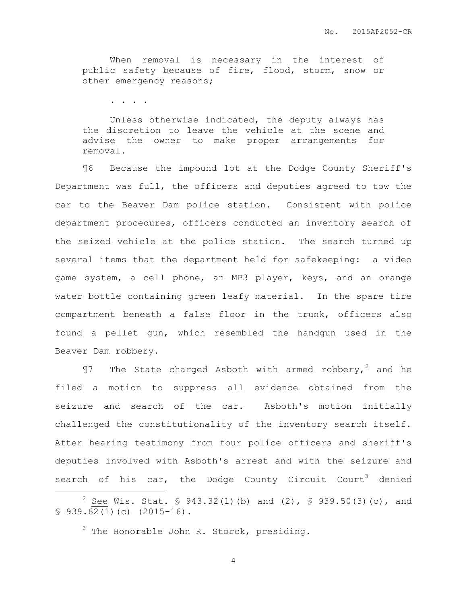When removal is necessary in the interest of public safety because of fire, flood, storm, snow or other emergency reasons;

. . . .

Unless otherwise indicated, the deputy always has the discretion to leave the vehicle at the scene and advise the owner to make proper arrangements for removal.

¶6 Because the impound lot at the Dodge County Sheriff's Department was full, the officers and deputies agreed to tow the car to the Beaver Dam police station. Consistent with police department procedures, officers conducted an inventory search of the seized vehicle at the police station. The search turned up several items that the department held for safekeeping: a video game system, a cell phone, an MP3 player, keys, and an orange water bottle containing green leafy material. In the spare tire compartment beneath a false floor in the trunk, officers also found a pellet gun, which resembled the handgun used in the Beaver Dam robbery.

 $\P$ 7 The State charged Asboth with armed robbery,<sup>2</sup> and he filed a motion to suppress all evidence obtained from the seizure and search of the car. Asboth's motion initially challenged the constitutionality of the inventory search itself. After hearing testimony from four police officers and sheriff's deputies involved with Asboth's arrest and with the seizure and search of his car, the Dodge County Circuit Court<sup>3</sup> denied

 $\overline{a}$ 

<sup>&</sup>lt;sup>2</sup> See Wis. Stat. § 943.32(1)(b) and (2), § 939.50(3)(c), and  $$939.62(1)(c) (2015-16).$ 

 $3$  The Honorable John R. Storck, presiding.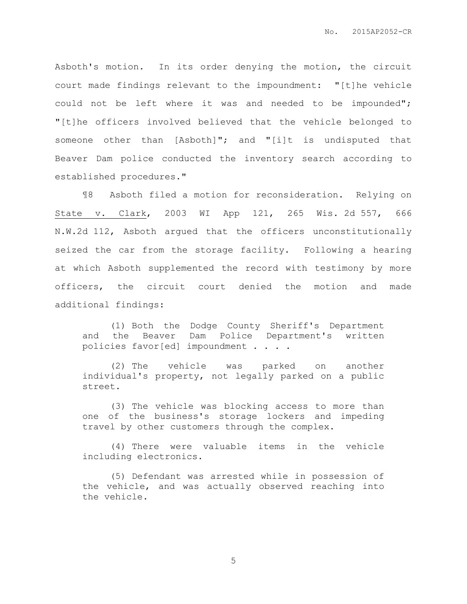Asboth's motion. In its order denying the motion, the circuit court made findings relevant to the impoundment: "[t]he vehicle could not be left where it was and needed to be impounded"; "[t]he officers involved believed that the vehicle belonged to someone other than [Asboth]"; and "[i]t is undisputed that Beaver Dam police conducted the inventory search according to established procedures."

¶8 Asboth filed a motion for reconsideration. Relying on State v. Clark, 2003 WI App 121, 265 Wis. 2d 557, 666 N.W.2d 112, Asboth argued that the officers unconstitutionally seized the car from the storage facility. Following a hearing at which Asboth supplemented the record with testimony by more officers, the circuit court denied the motion and made additional findings:

(1) Both the Dodge County Sheriff's Department and the Beaver Dam Police Department's written policies favor[ed] impoundment . . . .

(2) The vehicle was parked on another individual's property, not legally parked on a public street.

(3) The vehicle was blocking access to more than one of the business's storage lockers and impeding travel by other customers through the complex.

(4) There were valuable items in the vehicle including electronics.

(5) Defendant was arrested while in possession of the vehicle, and was actually observed reaching into the vehicle.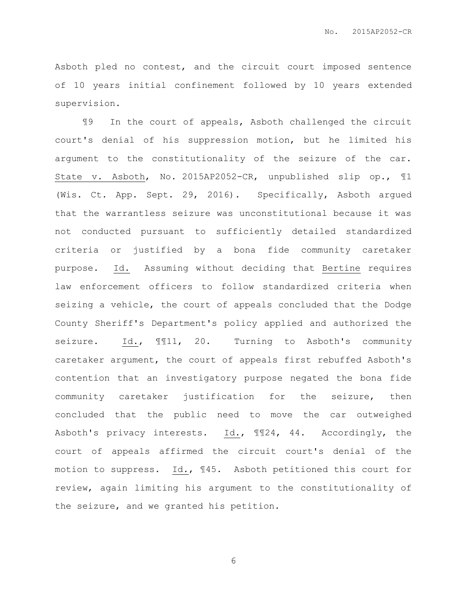Asboth pled no contest, and the circuit court imposed sentence of 10 years initial confinement followed by 10 years extended supervision.

¶9 In the court of appeals, Asboth challenged the circuit court's denial of his suppression motion, but he limited his argument to the constitutionality of the seizure of the car. State v. Asboth, No. 2015AP2052-CR, unpublished slip op., ¶1 (Wis. Ct. App. Sept. 29, 2016). Specifically, Asboth argued that the warrantless seizure was unconstitutional because it was not conducted pursuant to sufficiently detailed standardized criteria or justified by a bona fide community caretaker purpose. Id. Assuming without deciding that Bertine requires law enforcement officers to follow standardized criteria when seizing a vehicle, the court of appeals concluded that the Dodge County Sheriff's Department's policy applied and authorized the seizure. Id.,  $\text{M11}$ , 20. Turning to Asboth's community caretaker argument, the court of appeals first rebuffed Asboth's contention that an investigatory purpose negated the bona fide community caretaker justification for the seizure, then concluded that the public need to move the car outweighed Asboth's privacy interests. Id., ¶¶24, 44. Accordingly, the court of appeals affirmed the circuit court's denial of the motion to suppress. Id., ¶45. Asboth petitioned this court for review, again limiting his argument to the constitutionality of the seizure, and we granted his petition.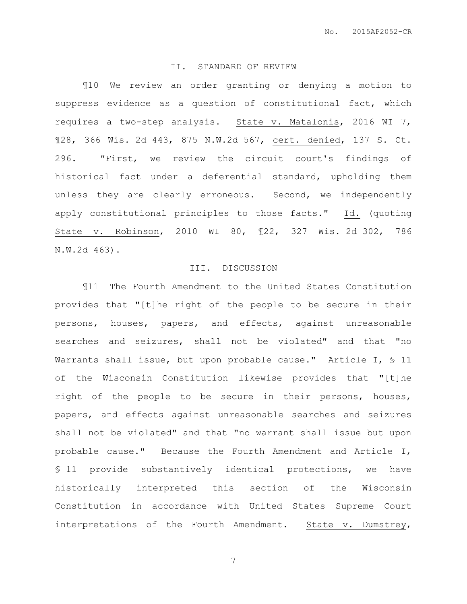#### II. STANDARD OF REVIEW

¶10 We review an order granting or denying a motion to suppress evidence as a question of constitutional fact, which requires a two-step analysis. State v. Matalonis, 2016 WI 7, ¶28, 366 Wis. 2d 443, 875 N.W.2d 567, cert. denied, 137 S. Ct. 296. "First, we review the circuit court's findings of historical fact under a deferential standard, upholding them unless they are clearly erroneous. Second, we independently apply constitutional principles to those facts." Id. (quoting State v. Robinson, 2010 WI 80, ¶22, 327 Wis. 2d 302, 786 N.W.2d 463).

## III. DISCUSSION

¶11 The Fourth Amendment to the United States Constitution provides that "[t]he right of the people to be secure in their persons, houses, papers, and effects, against unreasonable searches and seizures, shall not be violated" and that "no Warrants shall issue, but upon probable cause." Article I, § 11 of the Wisconsin Constitution likewise provides that "[t]he right of the people to be secure in their persons, houses, papers, and effects against unreasonable searches and seizures shall not be violated" and that "no warrant shall issue but upon probable cause." Because the Fourth Amendment and Article I, § 11 provide substantively identical protections, we have historically interpreted this section of the Wisconsin Constitution in accordance with United States Supreme Court interpretations of the Fourth Amendment. State v. Dumstrey,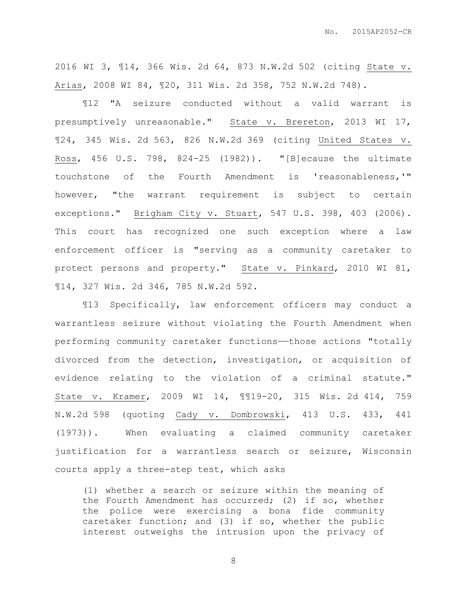2016 WI 3, ¶14, 366 Wis. 2d 64, 873 N.W.2d 502 (citing State v. Arias, 2008 WI 84, ¶20, 311 Wis. 2d 358, 752 N.W.2d 748).

¶12 "A seizure conducted without a valid warrant is presumptively unreasonable." State v. Brereton, 2013 WI 17, ¶24, 345 Wis. 2d 563, 826 N.W.2d 369 (citing United States v. Ross, 456 U.S. 798, 824-25 (1982)). "[B]ecause the ultimate touchstone of the Fourth Amendment is 'reasonableness,'" however, "the warrant requirement is subject to certain exceptions." Brigham City v. Stuart, 547 U.S. 398, 403 (2006). This court has recognized one such exception where a law enforcement officer is "serving as a community caretaker to protect persons and property." State v. Pinkard, 2010 WI 81, ¶14, 327 Wis. 2d 346, 785 N.W.2d 592.

¶13 Specifically, law enforcement officers may conduct a warrantless seizure without violating the Fourth Amendment when performing community caretaker functions—those actions "totally divorced from the detection, investigation, or acquisition of evidence relating to the violation of a criminal statute." State v. Kramer, 2009 WI 14, ¶¶19-20, 315 Wis. 2d 414, 759 N.W.2d 598 (quoting Cady v. Dombrowski, 413 U.S. 433, 441 (1973)). When evaluating a claimed community caretaker justification for a warrantless search or seizure, Wisconsin courts apply a three-step test, which asks

(1) whether a search or seizure within the meaning of the Fourth Amendment has occurred; (2) if so, whether the police were exercising a bona fide community caretaker function; and (3) if so, whether the public interest outweighs the intrusion upon the privacy of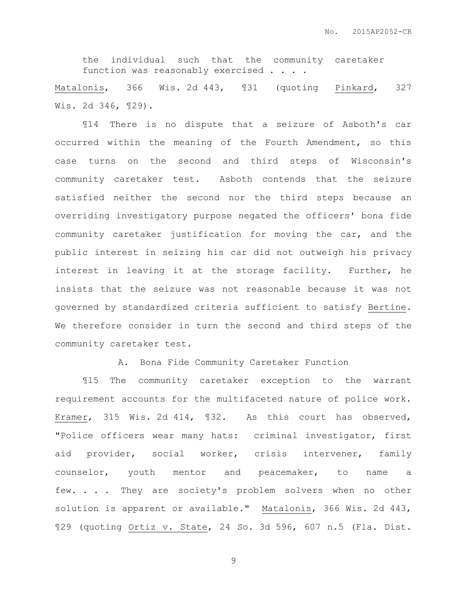the individual such that the community caretaker function was reasonably exercised . .

Matalonis, 366 Wis. 2d 443, 131 (quoting Pinkard, 327 Wis. 2d 346, ¶29).

¶14 There is no dispute that a seizure of Asboth's car occurred within the meaning of the Fourth Amendment, so this case turns on the second and third steps of Wisconsin's community caretaker test. Asboth contends that the seizure satisfied neither the second nor the third steps because an overriding investigatory purpose negated the officers' bona fide community caretaker justification for moving the car, and the public interest in seizing his car did not outweigh his privacy interest in leaving it at the storage facility. Further, he insists that the seizure was not reasonable because it was not governed by standardized criteria sufficient to satisfy Bertine. We therefore consider in turn the second and third steps of the community caretaker test.

A. Bona Fide Community Caretaker Function

¶15 The community caretaker exception to the warrant requirement accounts for the multifaceted nature of police work. Kramer, 315 Wis. 2d 414, ¶32. As this court has observed, "Police officers wear many hats: criminal investigator, first aid provider, social worker, crisis intervener, family counselor, youth mentor and peacemaker, to name a few. . . . They are society's problem solvers when no other solution is apparent or available." Matalonis, 366 Wis. 2d 443, ¶29 (quoting Ortiz v. State, 24 So. 3d 596, 607 n.5 (Fla. Dist.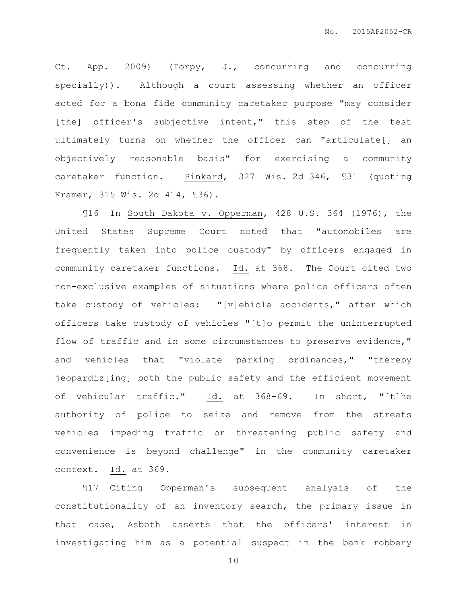Ct. App. 2009) (Torpy, J., concurring and concurring specially)). Although a court assessing whether an officer acted for a bona fide community caretaker purpose "may consider [the] officer's subjective intent," this step of the test ultimately turns on whether the officer can "articulate[] an objectively reasonable basis" for exercising a community caretaker function. Pinkard, 327 Wis. 2d 346, ¶31 (quoting Kramer, 315 Wis. 2d 414, ¶36).

¶16 In South Dakota v. Opperman, 428 U.S. 364 (1976), the United States Supreme Court noted that "automobiles are frequently taken into police custody" by officers engaged in community caretaker functions. Id. at 368. The Court cited two non-exclusive examples of situations where police officers often take custody of vehicles: "[v]ehicle accidents," after which officers take custody of vehicles "[t]o permit the uninterrupted flow of traffic and in some circumstances to preserve evidence," and vehicles that "violate parking ordinances," "thereby jeopardiz[ing] both the public safety and the efficient movement of vehicular traffic." Id. at 368-69. In short, "[t]he authority of police to seize and remove from the streets vehicles impeding traffic or threatening public safety and convenience is beyond challenge" in the community caretaker context. Id. at 369.

¶17 Citing Opperman's subsequent analysis of the constitutionality of an inventory search, the primary issue in that case, Asboth asserts that the officers' interest in investigating him as a potential suspect in the bank robbery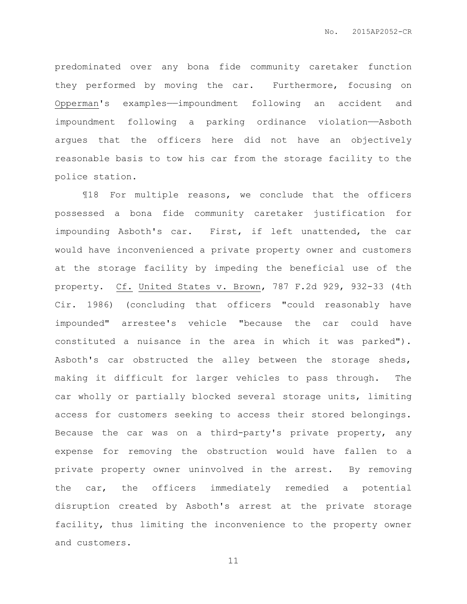predominated over any bona fide community caretaker function they performed by moving the car. Furthermore, focusing on Opperman's examples——impoundment following an accident and impoundment following a parking ordinance violation——Asboth argues that the officers here did not have an objectively reasonable basis to tow his car from the storage facility to the police station.

¶18 For multiple reasons, we conclude that the officers possessed a bona fide community caretaker justification for impounding Asboth's car. First, if left unattended, the car would have inconvenienced a private property owner and customers at the storage facility by impeding the beneficial use of the property. Cf. United States v. Brown, 787 F.2d 929, 932-33 (4th Cir. 1986) (concluding that officers "could reasonably have impounded" arrestee's vehicle "because the car could have constituted a nuisance in the area in which it was parked"). Asboth's car obstructed the alley between the storage sheds, making it difficult for larger vehicles to pass through. The car wholly or partially blocked several storage units, limiting access for customers seeking to access their stored belongings. Because the car was on a third-party's private property, any expense for removing the obstruction would have fallen to a private property owner uninvolved in the arrest. By removing the car, the officers immediately remedied a potential disruption created by Asboth's arrest at the private storage facility, thus limiting the inconvenience to the property owner and customers.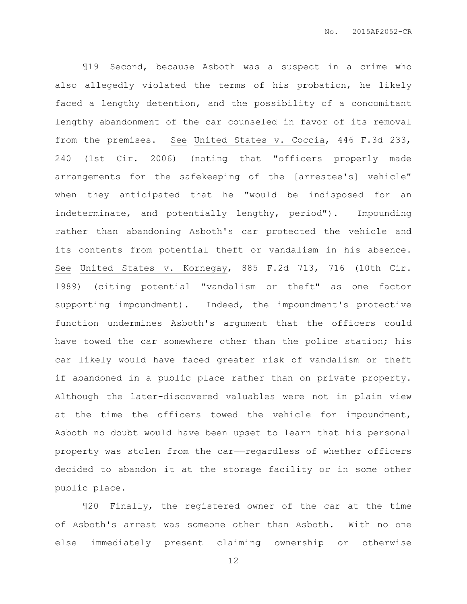¶19 Second, because Asboth was a suspect in a crime who also allegedly violated the terms of his probation, he likely faced a lengthy detention, and the possibility of a concomitant lengthy abandonment of the car counseled in favor of its removal from the premises. See United States v. Coccia, 446 F.3d 233, 240 (1st Cir. 2006) (noting that "officers properly made arrangements for the safekeeping of the [arrestee's] vehicle" when they anticipated that he "would be indisposed for an indeterminate, and potentially lengthy, period"). Impounding rather than abandoning Asboth's car protected the vehicle and its contents from potential theft or vandalism in his absence. See United States v. Kornegay, 885 F.2d 713, 716 (10th Cir. 1989) (citing potential "vandalism or theft" as one factor supporting impoundment). Indeed, the impoundment's protective function undermines Asboth's argument that the officers could have towed the car somewhere other than the police station; his car likely would have faced greater risk of vandalism or theft if abandoned in a public place rather than on private property. Although the later-discovered valuables were not in plain view at the time the officers towed the vehicle for impoundment, Asboth no doubt would have been upset to learn that his personal property was stolen from the car——regardless of whether officers decided to abandon it at the storage facility or in some other public place.

¶20 Finally, the registered owner of the car at the time of Asboth's arrest was someone other than Asboth. With no one else immediately present claiming ownership or otherwise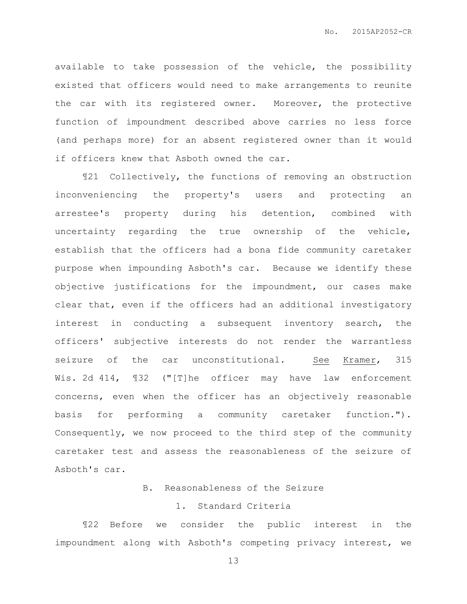available to take possession of the vehicle, the possibility existed that officers would need to make arrangements to reunite the car with its registered owner. Moreover, the protective function of impoundment described above carries no less force (and perhaps more) for an absent registered owner than it would if officers knew that Asboth owned the car.

¶21 Collectively, the functions of removing an obstruction inconveniencing the property's users and protecting an arrestee's property during his detention, combined with uncertainty regarding the true ownership of the vehicle, establish that the officers had a bona fide community caretaker purpose when impounding Asboth's car. Because we identify these objective justifications for the impoundment, our cases make clear that, even if the officers had an additional investigatory interest in conducting a subsequent inventory search, the officers' subjective interests do not render the warrantless seizure of the car unconstitutional. See Kramer, 315 Wis. 2d 414,  $\text{I}32$  ("[T]he officer may have law enforcement concerns, even when the officer has an objectively reasonable basis for performing a community caretaker function."). Consequently, we now proceed to the third step of the community caretaker test and assess the reasonableness of the seizure of Asboth's car.

# B. Reasonableness of the Seizure

## 1. Standard Criteria

¶22 Before we consider the public interest in the impoundment along with Asboth's competing privacy interest, we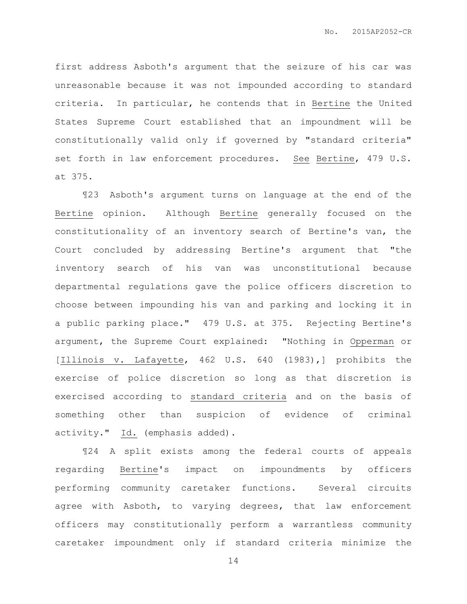first address Asboth's argument that the seizure of his car was unreasonable because it was not impounded according to standard criteria. In particular, he contends that in Bertine the United States Supreme Court established that an impoundment will be constitutionally valid only if governed by "standard criteria" set forth in law enforcement procedures. See Bertine, 479 U.S. at 375.

¶23 Asboth's argument turns on language at the end of the Bertine opinion. Although Bertine generally focused on the constitutionality of an inventory search of Bertine's van, the Court concluded by addressing Bertine's argument that "the inventory search of his van was unconstitutional because departmental regulations gave the police officers discretion to choose between impounding his van and parking and locking it in a public parking place." 479 U.S. at 375. Rejecting Bertine's argument, the Supreme Court explained: "Nothing in Opperman or [Illinois v. Lafayette, 462 U.S. 640 (1983),] prohibits the exercise of police discretion so long as that discretion is exercised according to standard criteria and on the basis of something other than suspicion of evidence of criminal activity." Id. (emphasis added).

¶24 A split exists among the federal courts of appeals regarding Bertine's impact on impoundments by officers performing community caretaker functions. Several circuits agree with Asboth, to varying degrees, that law enforcement officers may constitutionally perform a warrantless community caretaker impoundment only if standard criteria minimize the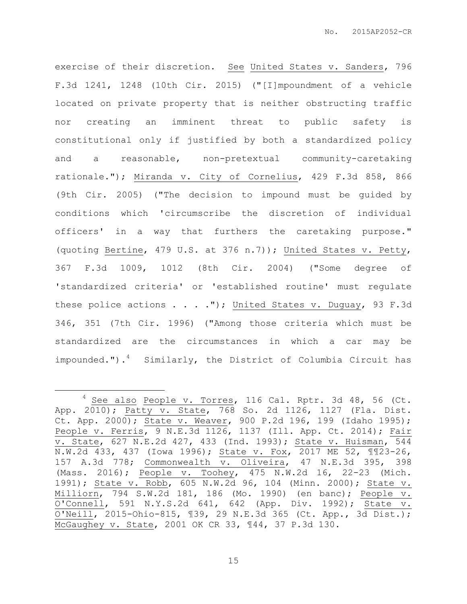exercise of their discretion. See United States v. Sanders, 796 F.3d 1241, 1248 (10th Cir. 2015) ("[I]mpoundment of a vehicle located on private property that is neither obstructing traffic nor creating an imminent threat to public safety is constitutional only if justified by both a standardized policy and a reasonable, non-pretextual community-caretaking rationale."); Miranda v. City of Cornelius, 429 F.3d 858, 866 (9th Cir. 2005) ("The decision to impound must be guided by conditions which 'circumscribe the discretion of individual officers' in a way that furthers the caretaking purpose." (quoting Bertine, 479 U.S. at 376 n.7)); United States v. Petty, 367 F.3d 1009, 1012 (8th Cir. 2004) ("Some degree of 'standardized criteria' or 'established routine' must regulate these police actions  $\ldots$  . ."); United States v. Duguay, 93 F.3d 346, 351 (7th Cir. 1996) ("Among those criteria which must be standardized are the circumstances in which a car may be impounded.").<sup>4</sup> Similarly, the District of Columbia Circuit has

 $\overline{a}$ 

 $4$  See also People v. Torres, 116 Cal. Rptr. 3d 48, 56 (Ct. App. 2010); Patty v. State, 768 So. 2d 1126, 1127 (Fla. Dist. Ct. App. 2000); State v. Weaver, 900 P.2d 196, 199 (Idaho 1995); People v. Ferris, 9 N.E.3d 1126, 1137 (Ill. App. Ct. 2014); Fair v. State, 627 N.E.2d 427, 433 (Ind. 1993); State v. Huisman, 544 N.W.2d 433, 437 (Iowa 1996); State v. Fox, 2017 ME 52, ¶¶23-26, 157 A.3d 778; Commonwealth v. Oliveira, 47 N.E.3d 395, 398 (Mass. 2016); People v. Toohey, 475 N.W.2d 16, 22-23 (Mich. 1991); State v. Robb, 605 N.W.2d 96, 104 (Minn. 2000); State v. Milliorn, 794 S.W.2d 181, 186 (Mo. 1990) (en banc); People v. O'Connell, 591 N.Y.S.2d 641, 642 (App. Div. 1992); State v. O'Neill, 2015-Ohio-815, ¶39, 29 N.E.3d 365 (Ct. App., 3d Dist.); McGaughey v. State, 2001 OK CR 33, ¶44, 37 P.3d 130.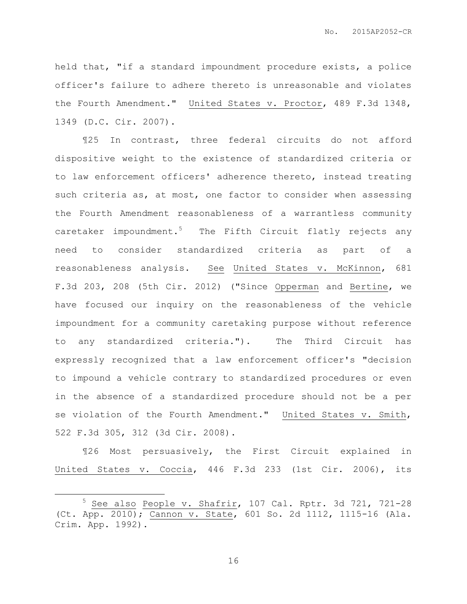held that, "if a standard impoundment procedure exists, a police officer's failure to adhere thereto is unreasonable and violates the Fourth Amendment." United States v. Proctor, 489 F.3d 1348, 1349 (D.C. Cir. 2007).

¶25 In contrast, three federal circuits do not afford dispositive weight to the existence of standardized criteria or to law enforcement officers' adherence thereto, instead treating such criteria as, at most, one factor to consider when assessing the Fourth Amendment reasonableness of a warrantless community caretaker impoundment.<sup>5</sup> The Fifth Circuit flatly rejects any need to consider standardized criteria as part of a reasonableness analysis. See United States v. McKinnon, 681 F.3d 203, 208 (5th Cir. 2012) ("Since Opperman and Bertine, we have focused our inquiry on the reasonableness of the vehicle impoundment for a community caretaking purpose without reference to any standardized criteria."). The Third Circuit has expressly recognized that a law enforcement officer's "decision to impound a vehicle contrary to standardized procedures or even in the absence of a standardized procedure should not be a per se violation of the Fourth Amendment." United States v. Smith, 522 F.3d 305, 312 (3d Cir. 2008).

¶26 Most persuasively, the First Circuit explained in United States v. Coccia, 446 F.3d 233 (1st Cir. 2006), its

 $\overline{a}$ 

<sup>5</sup> See also People v. Shafrir, 107 Cal. Rptr. 3d 721, 721-28 (Ct. App. 2010); Cannon v. State, 601 So. 2d 1112, 1115-16 (Ala. Crim. App. 1992).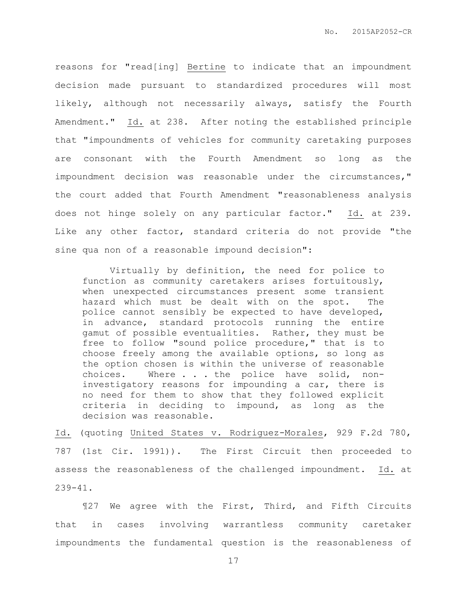reasons for "read[ing] Bertine to indicate that an impoundment decision made pursuant to standardized procedures will most likely, although not necessarily always, satisfy the Fourth Amendment." Id. at 238. After noting the established principle that "impoundments of vehicles for community caretaking purposes are consonant with the Fourth Amendment so long as the impoundment decision was reasonable under the circumstances," the court added that Fourth Amendment "reasonableness analysis does not hinge solely on any particular factor." Id. at 239. Like any other factor, standard criteria do not provide "the sine qua non of a reasonable impound decision":

Virtually by definition, the need for police to function as community caretakers arises fortuitously, when unexpected circumstances present some transient hazard which must be dealt with on the spot. The police cannot sensibly be expected to have developed, in advance, standard protocols running the entire gamut of possible eventualities. Rather, they must be free to follow "sound police procedure," that is to choose freely among the available options, so long as the option chosen is within the universe of reasonable choices. Where . . . the police have solid, noninvestigatory reasons for impounding a car, there is no need for them to show that they followed explicit criteria in deciding to impound, as long as the decision was reasonable.

Id. (quoting United States v. Rodriguez-Morales, 929 F.2d 780, 787 (1st Cir. 1991)). The First Circuit then proceeded to assess the reasonableness of the challenged impoundment. Id. at 239-41.

¶27 We agree with the First, Third, and Fifth Circuits that in cases involving warrantless community caretaker impoundments the fundamental question is the reasonableness of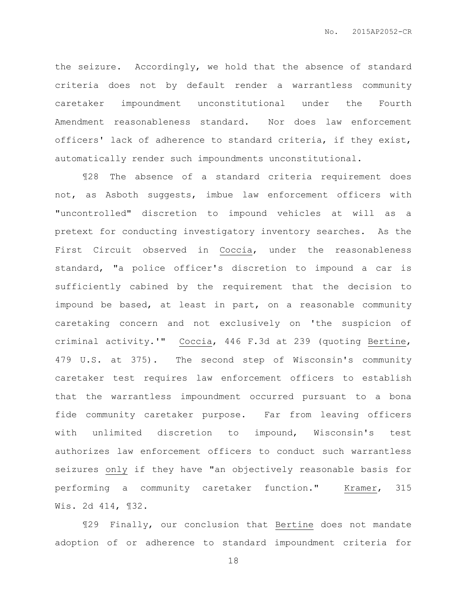the seizure. Accordingly, we hold that the absence of standard criteria does not by default render a warrantless community caretaker impoundment unconstitutional under the Fourth Amendment reasonableness standard. Nor does law enforcement officers' lack of adherence to standard criteria, if they exist, automatically render such impoundments unconstitutional.

¶28 The absence of a standard criteria requirement does not, as Asboth suggests, imbue law enforcement officers with "uncontrolled" discretion to impound vehicles at will as a pretext for conducting investigatory inventory searches. As the First Circuit observed in Coccia, under the reasonableness standard, "a police officer's discretion to impound a car is sufficiently cabined by the requirement that the decision to impound be based, at least in part, on a reasonable community caretaking concern and not exclusively on 'the suspicion of criminal activity.'" Coccia, 446 F.3d at 239 (quoting Bertine, 479 U.S. at 375). The second step of Wisconsin's community caretaker test requires law enforcement officers to establish that the warrantless impoundment occurred pursuant to a bona fide community caretaker purpose. Far from leaving officers with unlimited discretion to impound, Wisconsin's test authorizes law enforcement officers to conduct such warrantless seizures only if they have "an objectively reasonable basis for performing a community caretaker function." Kramer, 315 Wis. 2d 414, ¶32.

¶29 Finally, our conclusion that Bertine does not mandate adoption of or adherence to standard impoundment criteria for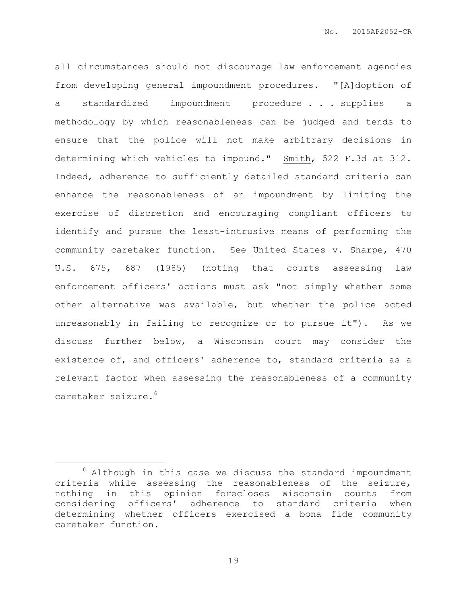all circumstances should not discourage law enforcement agencies from developing general impoundment procedures. "[A]doption of a standardized impoundment procedure . . . supplies a methodology by which reasonableness can be judged and tends to ensure that the police will not make arbitrary decisions in determining which vehicles to impound." Smith, 522 F.3d at 312. Indeed, adherence to sufficiently detailed standard criteria can enhance the reasonableness of an impoundment by limiting the exercise of discretion and encouraging compliant officers to identify and pursue the least-intrusive means of performing the community caretaker function. See United States v. Sharpe, 470 U.S. 675, 687 (1985) (noting that courts assessing law enforcement officers' actions must ask "not simply whether some other alternative was available, but whether the police acted unreasonably in failing to recognize or to pursue it"). As we discuss further below, a Wisconsin court may consider the existence of, and officers' adherence to, standard criteria as a relevant factor when assessing the reasonableness of a community caretaker seizure.<sup>6</sup>

 $\overline{a}$ 

 $6$  Although in this case we discuss the standard impoundment criteria while assessing the reasonableness of the seizure, nothing in this opinion forecloses Wisconsin courts from considering officers' adherence to standard criteria when determining whether officers exercised a bona fide community caretaker function.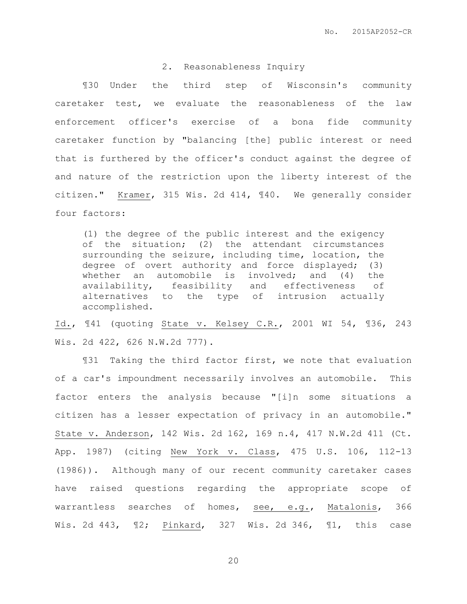## 2. Reasonableness Inquiry

¶30 Under the third step of Wisconsin's community caretaker test, we evaluate the reasonableness of the law enforcement officer's exercise of a bona fide community caretaker function by "balancing [the] public interest or need that is furthered by the officer's conduct against the degree of and nature of the restriction upon the liberty interest of the citizen." Kramer, 315 Wis. 2d 414, ¶40. We generally consider four factors:

(1) the degree of the public interest and the exigency of the situation; (2) the attendant circumstances surrounding the seizure, including time, location, the degree of overt authority and force displayed; (3) whether an automobile is involved; and (4) the availability, feasibility and effectiveness of alternatives to the type of intrusion actually accomplished.

Id., ¶41 (quoting State v. Kelsey C.R., 2001 WI 54, ¶36, 243 Wis. 2d 422, 626 N.W.2d 777).

¶31 Taking the third factor first, we note that evaluation of a car's impoundment necessarily involves an automobile. This factor enters the analysis because "[i]n some situations a citizen has a lesser expectation of privacy in an automobile." State v. Anderson, 142 Wis. 2d 162, 169 n.4, 417 N.W.2d 411 (Ct. App. 1987) (citing New York v. Class, 475 U.S. 106, 112-13 (1986)). Although many of our recent community caretaker cases have raised questions regarding the appropriate scope of warrantless searches of homes, see, e.g., Matalonis, 366 Wis. 2d 443, ¶2; Pinkard, 327 Wis. 2d 346, ¶1, this case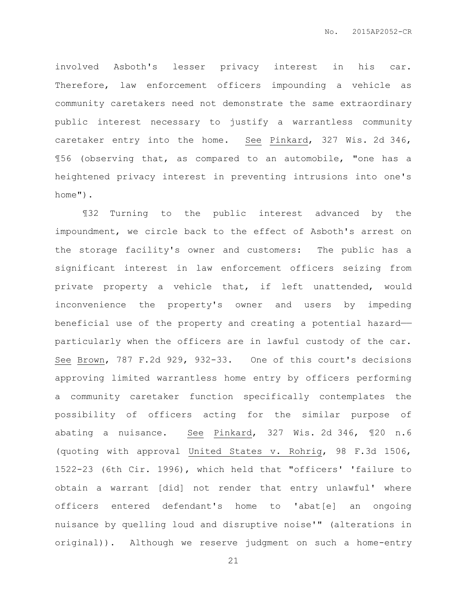involved Asboth's lesser privacy interest in his car. Therefore, law enforcement officers impounding a vehicle as community caretakers need not demonstrate the same extraordinary public interest necessary to justify a warrantless community caretaker entry into the home. See Pinkard, 327 Wis. 2d 346, ¶56 (observing that, as compared to an automobile, "one has a heightened privacy interest in preventing intrusions into one's home").

¶32 Turning to the public interest advanced by the impoundment, we circle back to the effect of Asboth's arrest on the storage facility's owner and customers: The public has a significant interest in law enforcement officers seizing from private property a vehicle that, if left unattended, would inconvenience the property's owner and users by impeding beneficial use of the property and creating a potential hazard— particularly when the officers are in lawful custody of the car. See Brown, 787 F.2d 929, 932-33. One of this court's decisions approving limited warrantless home entry by officers performing a community caretaker function specifically contemplates the possibility of officers acting for the similar purpose of abating a nuisance. See Pinkard, 327 Wis. 2d 346, ¶20 n.6 (quoting with approval United States v. Rohrig, 98 F.3d 1506, 1522-23 (6th Cir. 1996), which held that "officers' 'failure to obtain a warrant [did] not render that entry unlawful' where officers entered defendant's home to 'abat[e] an ongoing nuisance by quelling loud and disruptive noise'" (alterations in original)). Although we reserve judgment on such a home-entry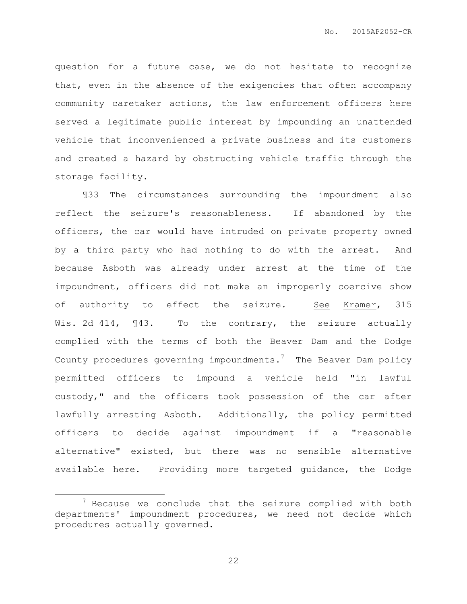question for a future case, we do not hesitate to recognize that, even in the absence of the exigencies that often accompany community caretaker actions, the law enforcement officers here served a legitimate public interest by impounding an unattended vehicle that inconvenienced a private business and its customers and created a hazard by obstructing vehicle traffic through the storage facility.

¶33 The circumstances surrounding the impoundment also reflect the seizure's reasonableness. If abandoned by the officers, the car would have intruded on private property owned by a third party who had nothing to do with the arrest. And because Asboth was already under arrest at the time of the impoundment, officers did not make an improperly coercive show of authority to effect the seizure. See Kramer, 315 Wis. 2d 414, 143. To the contrary, the seizure actually complied with the terms of both the Beaver Dam and the Dodge County procedures governing impoundments.<sup>7</sup> The Beaver Dam policy permitted officers to impound a vehicle held "in lawful custody," and the officers took possession of the car after lawfully arresting Asboth. Additionally, the policy permitted officers to decide against impoundment if a "reasonable alternative" existed, but there was no sensible alternative available here. Providing more targeted guidance, the Dodge

 $\overline{a}$ 

 $7$  Because we conclude that the seizure complied with both departments' impoundment procedures, we need not decide which procedures actually governed.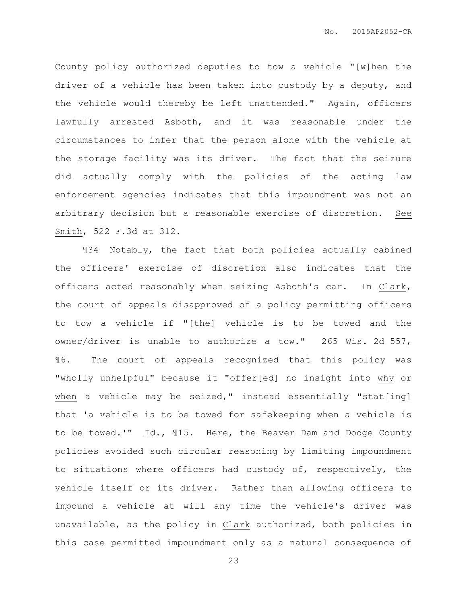County policy authorized deputies to tow a vehicle "[w]hen the driver of a vehicle has been taken into custody by a deputy, and the vehicle would thereby be left unattended." Again, officers lawfully arrested Asboth, and it was reasonable under the circumstances to infer that the person alone with the vehicle at the storage facility was its driver. The fact that the seizure did actually comply with the policies of the acting law enforcement agencies indicates that this impoundment was not an arbitrary decision but a reasonable exercise of discretion. See Smith, 522 F.3d at 312.

¶34 Notably, the fact that both policies actually cabined the officers' exercise of discretion also indicates that the officers acted reasonably when seizing Asboth's car. In Clark, the court of appeals disapproved of a policy permitting officers to tow a vehicle if "[the] vehicle is to be towed and the owner/driver is unable to authorize a tow." 265 Wis. 2d 557, ¶6. The court of appeals recognized that this policy was "wholly unhelpful" because it "offer[ed] no insight into why or when a vehicle may be seized," instead essentially "stat[ing] that 'a vehicle is to be towed for safekeeping when a vehicle is to be towed.'" Id., ¶15. Here, the Beaver Dam and Dodge County policies avoided such circular reasoning by limiting impoundment to situations where officers had custody of, respectively, the vehicle itself or its driver. Rather than allowing officers to impound a vehicle at will any time the vehicle's driver was unavailable, as the policy in Clark authorized, both policies in this case permitted impoundment only as a natural consequence of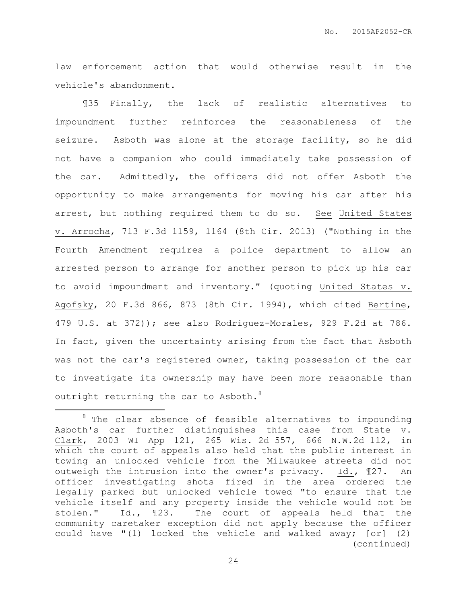law enforcement action that would otherwise result in the vehicle's abandonment.

¶35 Finally, the lack of realistic alternatives to impoundment further reinforces the reasonableness of the seizure. Asboth was alone at the storage facility, so he did not have a companion who could immediately take possession of the car. Admittedly, the officers did not offer Asboth the opportunity to make arrangements for moving his car after his arrest, but nothing required them to do so. See United States v. Arrocha, 713 F.3d 1159, 1164 (8th Cir. 2013) ("Nothing in the Fourth Amendment requires a police department to allow an arrested person to arrange for another person to pick up his car to avoid impoundment and inventory." (quoting United States v. Agofsky, 20 F.3d 866, 873 (8th Cir. 1994), which cited Bertine, 479 U.S. at 372)); see also Rodriguez-Morales, 929 F.2d at 786. In fact, given the uncertainty arising from the fact that Asboth was not the car's registered owner, taking possession of the car to investigate its ownership may have been more reasonable than outright returning the car to Asboth. $8$ 

 $\overline{a}$ 

 $8$  The clear absence of feasible alternatives to impounding Asboth's car further distinguishes this case from State v. Clark, 2003 WI App 121, 265 Wis. 2d 557, 666 N.W.2d 112, in which the court of appeals also held that the public interest in towing an unlocked vehicle from the Milwaukee streets did not outweigh the intrusion into the owner's privacy. Id., ¶27. An officer investigating shots fired in the area ordered the legally parked but unlocked vehicle towed "to ensure that the vehicle itself and any property inside the vehicle would not be stolen." Id., ¶23. The court of appeals held that the community caretaker exception did not apply because the officer could have "(1) locked the vehicle and walked away; [or] (2) (continued)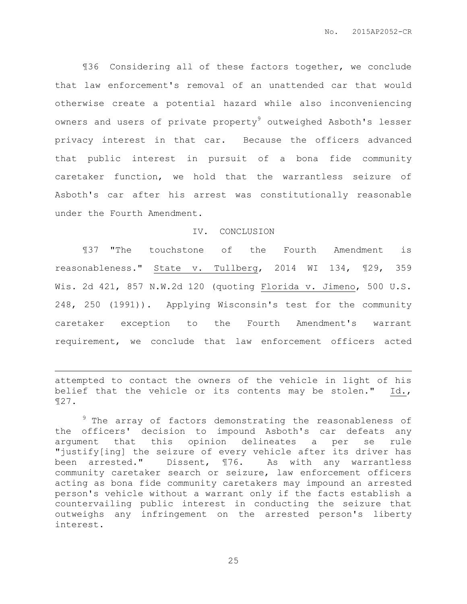¶36 Considering all of these factors together, we conclude that law enforcement's removal of an unattended car that would otherwise create a potential hazard while also inconveniencing owners and users of private property<sup>9</sup> outweighed Asboth's lesser privacy interest in that car. Because the officers advanced that public interest in pursuit of a bona fide community caretaker function, we hold that the warrantless seizure of Asboth's car after his arrest was constitutionally reasonable under the Fourth Amendment.

## IV. CONCLUSION

¶37 "The touchstone of the Fourth Amendment is reasonableness." State v. Tullberg, 2014 WI 134, ¶29, 359 Wis. 2d 421, 857 N.W.2d 120 (quoting Florida v. Jimeno, 500 U.S. 248, 250 (1991)). Applying Wisconsin's test for the community caretaker exception to the Fourth Amendment's warrant requirement, we conclude that law enforcement officers acted

attempted to contact the owners of the vehicle in light of his belief that the vehicle or its contents may be stolen." Id., ¶27.

 $\overline{a}$ 

<sup>9</sup> The array of factors demonstrating the reasonableness of the officers' decision to impound Asboth's car defeats any argument that this opinion delineates a per se rule "justify[ing] the seizure of every vehicle after its driver has been arrested." Dissent, ¶76. As with any warrantless community caretaker search or seizure, law enforcement officers acting as bona fide community caretakers may impound an arrested person's vehicle without a warrant only if the facts establish a countervailing public interest in conducting the seizure that outweighs any infringement on the arrested person's liberty interest.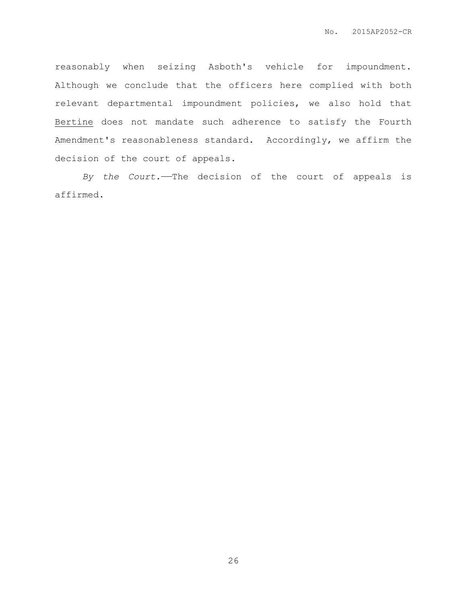reasonably when seizing Asboth's vehicle for impoundment. Although we conclude that the officers here complied with both relevant departmental impoundment policies, we also hold that Bertine does not mandate such adherence to satisfy the Fourth Amendment's reasonableness standard. Accordingly, we affirm the decision of the court of appeals.

*By the Court.*——The decision of the court of appeals is affirmed.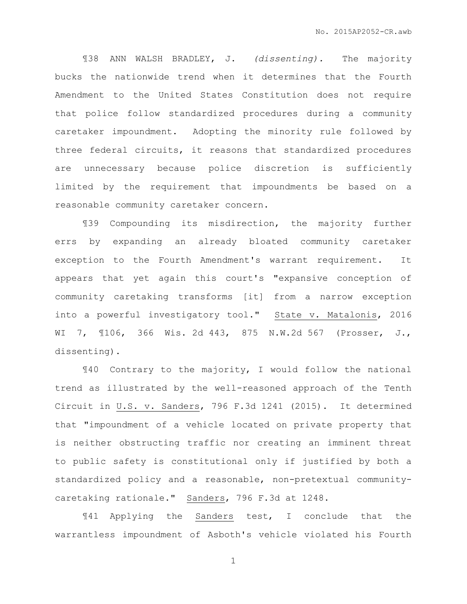¶38 ANN WALSH BRADLEY, J. *(dissenting).* The majority bucks the nationwide trend when it determines that the Fourth Amendment to the United States Constitution does not require that police follow standardized procedures during a community caretaker impoundment. Adopting the minority rule followed by three federal circuits, it reasons that standardized procedures are unnecessary because police discretion is sufficiently limited by the requirement that impoundments be based on a reasonable community caretaker concern.

¶39 Compounding its misdirection, the majority further errs by expanding an already bloated community caretaker exception to the Fourth Amendment's warrant requirement. It appears that yet again this court's "expansive conception of community caretaking transforms [it] from a narrow exception into a powerful investigatory tool." State v. Matalonis, 2016 WI 7, ¶106, 366 Wis. 2d 443, 875 N.W.2d 567 (Prosser, J., dissenting).

¶40 Contrary to the majority, I would follow the national trend as illustrated by the well-reasoned approach of the Tenth Circuit in U.S. v. Sanders, 796 F.3d 1241 (2015). It determined that "impoundment of a vehicle located on private property that is neither obstructing traffic nor creating an imminent threat to public safety is constitutional only if justified by both a standardized policy and a reasonable, non-pretextual communitycaretaking rationale." Sanders, 796 F.3d at 1248.

¶41 Applying the Sanders test, I conclude that the warrantless impoundment of Asboth's vehicle violated his Fourth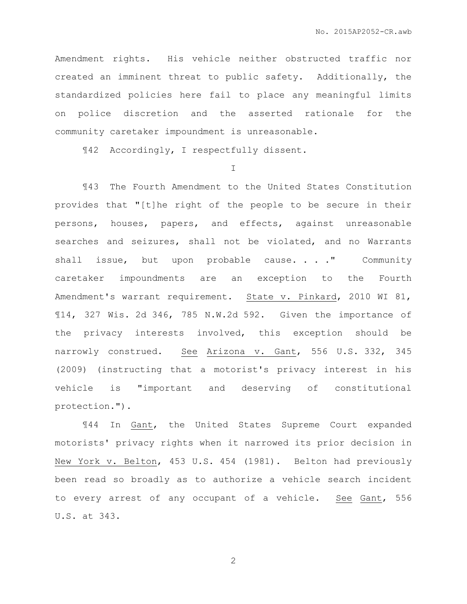Amendment rights. His vehicle neither obstructed traffic nor created an imminent threat to public safety. Additionally, the standardized policies here fail to place any meaningful limits on police discretion and the asserted rationale for the community caretaker impoundment is unreasonable.

¶42 Accordingly, I respectfully dissent.

I

¶43 The Fourth Amendment to the United States Constitution provides that "[t]he right of the people to be secure in their persons, houses, papers, and effects, against unreasonable searches and seizures, shall not be violated, and no Warrants shall issue, but upon probable cause. . . . " Community caretaker impoundments are an exception to the Fourth Amendment's warrant requirement. State v. Pinkard, 2010 WI 81, ¶14, 327 Wis. 2d 346, 785 N.W.2d 592. Given the importance of the privacy interests involved, this exception should be narrowly construed. See Arizona v. Gant, 556 U.S. 332, 345 (2009) (instructing that a motorist's privacy interest in his vehicle is "important and deserving of constitutional protection.").

¶44 In Gant, the United States Supreme Court expanded motorists' privacy rights when it narrowed its prior decision in New York v. Belton, 453 U.S. 454 (1981). Belton had previously been read so broadly as to authorize a vehicle search incident to every arrest of any occupant of a vehicle. See Gant, 556 U.S. at 343.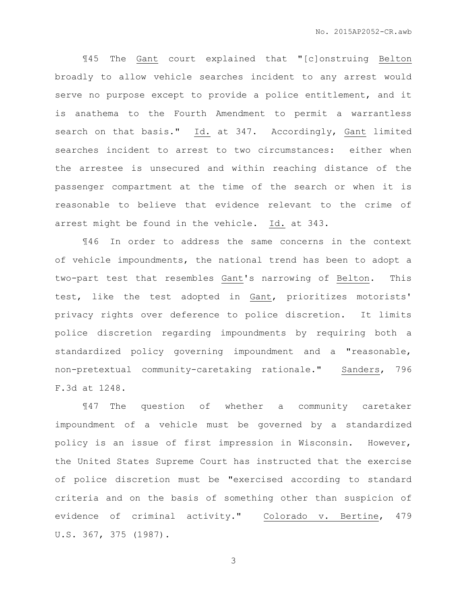¶45 The Gant court explained that "[c]onstruing Belton broadly to allow vehicle searches incident to any arrest would serve no purpose except to provide a police entitlement, and it is anathema to the Fourth Amendment to permit a warrantless search on that basis." Id. at 347. Accordingly, Gant limited searches incident to arrest to two circumstances: either when the arrestee is unsecured and within reaching distance of the passenger compartment at the time of the search or when it is reasonable to believe that evidence relevant to the crime of arrest might be found in the vehicle. Id. at 343.

¶46 In order to address the same concerns in the context of vehicle impoundments, the national trend has been to adopt a two-part test that resembles Gant's narrowing of Belton. This test, like the test adopted in Gant, prioritizes motorists' privacy rights over deference to police discretion. It limits police discretion regarding impoundments by requiring both a standardized policy governing impoundment and a "reasonable, non-pretextual community-caretaking rationale." Sanders, 796 F.3d at 1248.

¶47 The question of whether a community caretaker impoundment of a vehicle must be governed by a standardized policy is an issue of first impression in Wisconsin. However, the United States Supreme Court has instructed that the exercise of police discretion must be "exercised according to standard criteria and on the basis of something other than suspicion of evidence of criminal activity." Colorado v. Bertine, 479 U.S. 367, 375 (1987).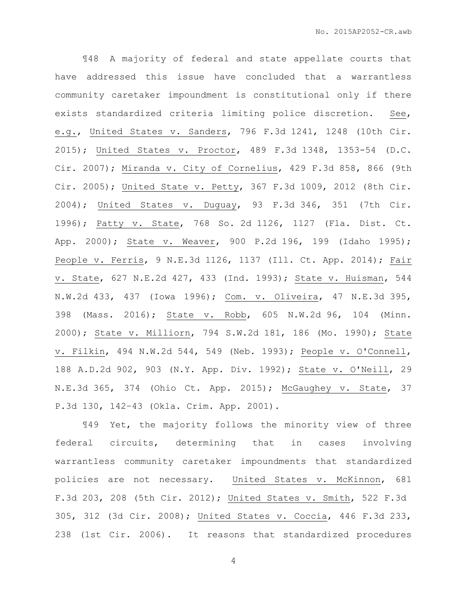¶48 A majority of federal and state appellate courts that have addressed this issue have concluded that a warrantless community caretaker impoundment is constitutional only if there exists standardized criteria limiting police discretion. See, e.g., United States v. Sanders, 796 F.3d 1241, 1248 (10th Cir. 2015); United States v. Proctor, 489 F.3d 1348, 1353-54 (D.C. Cir. 2007); Miranda v. City of Cornelius, 429 F.3d 858, 866 (9th Cir. 2005); United State v. Petty, 367 F.3d 1009, 2012 (8th Cir. 2004); United States v. Duguay, 93 F.3d 346, 351 (7th Cir. 1996); Patty v. State, 768 So. 2d 1126, 1127 (Fla. Dist. Ct. App. 2000); State v. Weaver, 900 P.2d 196, 199 (Idaho 1995); People v. Ferris, 9 N.E.3d 1126, 1137 (Ill. Ct. App. 2014); Fair v. State, 627 N.E.2d 427, 433 (Ind. 1993); State v. Huisman, 544 N.W.2d 433, 437 (Iowa 1996); Com. v. Oliveira, 47 N.E.3d 395, 398 (Mass. 2016); State v. Robb, 605 N.W.2d 96, 104 (Minn. 2000); State v. Milliorn, 794 S.W.2d 181, 186 (Mo. 1990); State v. Filkin, 494 N.W.2d 544, 549 (Neb. 1993); People v. O'Connell, 188 A.D.2d 902, 903 (N.Y. App. Div. 1992); State v. O'Neill, 29 N.E.3d 365, 374 (Ohio Ct. App. 2015); McGaughey v. State, 37 P.3d 130, 142–43 (Okla. Crim. App. 2001).

¶49 Yet, the majority follows the minority view of three federal circuits, determining that in cases involving warrantless community caretaker impoundments that standardized policies are not necessary. United States v. McKinnon, 681 F.3d 203, 208 (5th Cir. 2012); United States v. Smith, 522 F.3d 305, 312 (3d Cir. 2008); United States v. Coccia, 446 F.3d 233, 238 (1st Cir. 2006). It reasons that standardized procedures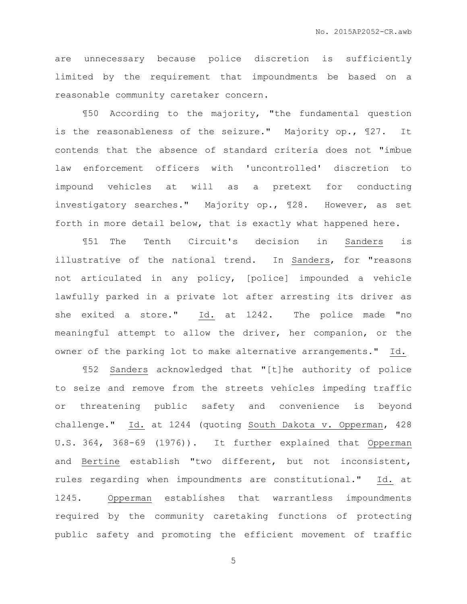are unnecessary because police discretion is sufficiently limited by the requirement that impoundments be based on a reasonable community caretaker concern.

¶50 According to the majority, "the fundamental question is the reasonableness of the seizure." Majority op., ¶27. It contends that the absence of standard criteria does not "imbue law enforcement officers with 'uncontrolled' discretion to impound vehicles at will as a pretext for conducting investigatory searches." Majority op., ¶28. However, as set forth in more detail below, that is exactly what happened here.

¶51 The Tenth Circuit's decision in Sanders is illustrative of the national trend. In Sanders, for "reasons not articulated in any policy, [police] impounded a vehicle lawfully parked in a private lot after arresting its driver as she exited a store." Id. at 1242. The police made "no meaningful attempt to allow the driver, her companion, or the owner of the parking lot to make alternative arrangements." Id.

¶52 Sanders acknowledged that "[t]he authority of police to seize and remove from the streets vehicles impeding traffic or threatening public safety and convenience is beyond challenge." Id. at 1244 (quoting South Dakota v. Opperman, 428 U.S. 364, 368-69 (1976)). It further explained that Opperman and Bertine establish "two different, but not inconsistent, rules regarding when impoundments are constitutional." Id. at 1245. Opperman establishes that warrantless impoundments required by the community caretaking functions of protecting public safety and promoting the efficient movement of traffic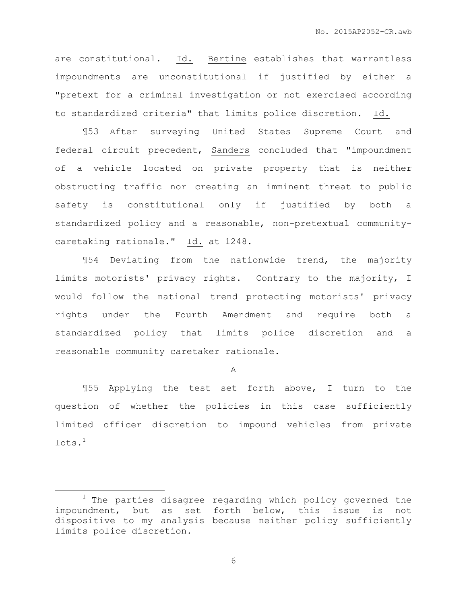are constitutional. Id. Bertine establishes that warrantless impoundments are unconstitutional if justified by either a "pretext for a criminal investigation or not exercised according to standardized criteria" that limits police discretion. Id.

¶53 After surveying United States Supreme Court and federal circuit precedent, Sanders concluded that "impoundment of a vehicle located on private property that is neither obstructing traffic nor creating an imminent threat to public safety is constitutional only if justified by both a standardized policy and a reasonable, non-pretextual communitycaretaking rationale." Id. at 1248.

¶54 Deviating from the nationwide trend, the majority limits motorists' privacy rights. Contrary to the majority, I would follow the national trend protecting motorists' privacy rights under the Fourth Amendment and require both a standardized policy that limits police discretion and a reasonable community caretaker rationale.

A

¶55 Applying the test set forth above, I turn to the question of whether the policies in this case sufficiently limited officer discretion to impound vehicles from private  $lots$ .<sup>1</sup>

 $\overline{a}$ 

 $1$  The parties disagree regarding which policy governed the impoundment, but as set forth below, this issue is not dispositive to my analysis because neither policy sufficiently limits police discretion.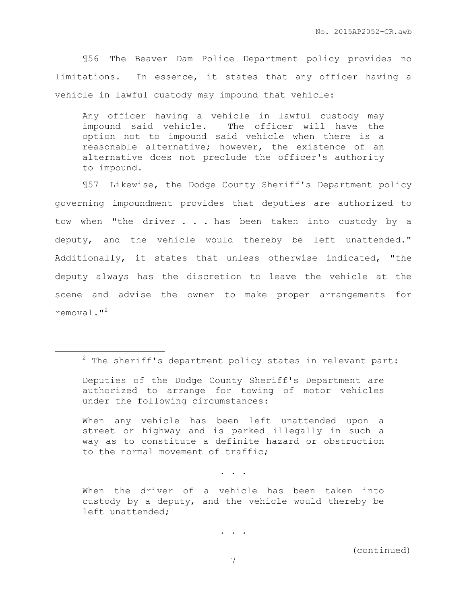¶56 The Beaver Dam Police Department policy provides no limitations. In essence, it states that any officer having a vehicle in lawful custody may impound that vehicle:

Any officer having a vehicle in lawful custody may impound said vehicle. The officer will have the option not to impound said vehicle when there is a reasonable alternative; however, the existence of an alternative does not preclude the officer's authority to impound.

¶57 Likewise, the Dodge County Sheriff's Department policy governing impoundment provides that deputies are authorized to tow when "the driver . . . has been taken into custody by a deputy, and the vehicle would thereby be left unattended." Additionally, it states that unless otherwise indicated, "the deputy always has the discretion to leave the vehicle at the scene and advise the owner to make proper arrangements for removal."<sup>2</sup>

 $\overline{a}$ 

When any vehicle has been left unattended upon a street or highway and is parked illegally in such a way as to constitute a definite hazard or obstruction to the normal movement of traffic;

. . .

. . .

 $2$  The sheriff's department policy states in relevant part:

Deputies of the Dodge County Sheriff's Department are authorized to arrange for towing of motor vehicles under the following circumstances:

When the driver of a vehicle has been taken into custody by a deputy, and the vehicle would thereby be left unattended;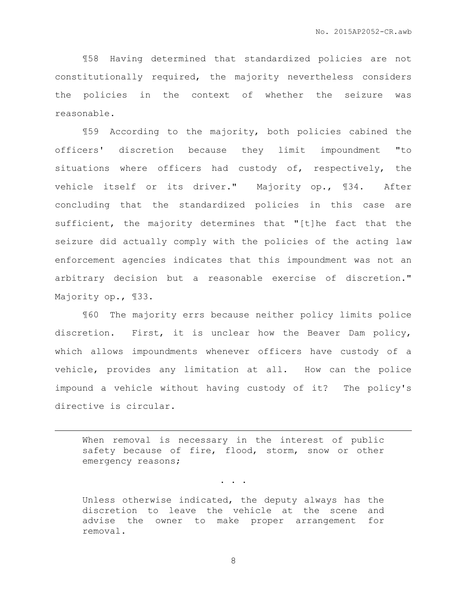¶58 Having determined that standardized policies are not constitutionally required, the majority nevertheless considers the policies in the context of whether the seizure was reasonable.

¶59 According to the majority, both policies cabined the officers' discretion because they limit impoundment "to situations where officers had custody of, respectively, the vehicle itself or its driver." Majority op., ¶34. After concluding that the standardized policies in this case are sufficient, the majority determines that "[t]he fact that the seizure did actually comply with the policies of the acting law enforcement agencies indicates that this impoundment was not an arbitrary decision but a reasonable exercise of discretion." Majority op., ¶33.

¶60 The majority errs because neither policy limits police discretion. First, it is unclear how the Beaver Dam policy, which allows impoundments whenever officers have custody of a vehicle, provides any limitation at all. How can the police impound a vehicle without having custody of it? The policy's directive is circular.

When removal is necessary in the interest of public safety because of fire, flood, storm, snow or other emergency reasons;

. . .

 $\overline{a}$ 

Unless otherwise indicated, the deputy always has the discretion to leave the vehicle at the scene and advise the owner to make proper arrangement for removal.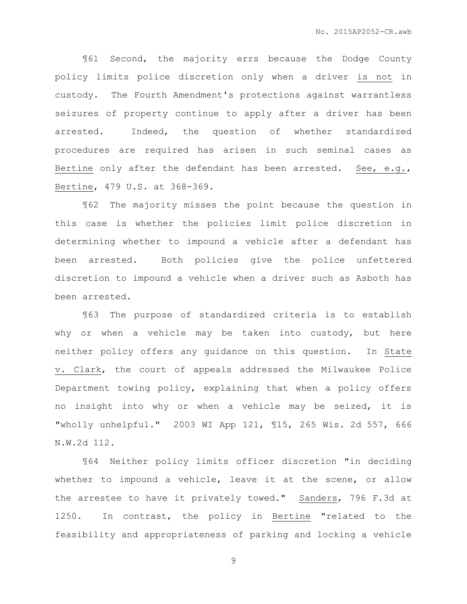¶61 Second, the majority errs because the Dodge County policy limits police discretion only when a driver is not in custody. The Fourth Amendment's protections against warrantless seizures of property continue to apply after a driver has been arrested. Indeed, the question of whether standardized procedures are required has arisen in such seminal cases as Bertine only after the defendant has been arrested. See, e.g., Bertine, 479 U.S. at 368-369.

¶62 The majority misses the point because the question in this case is whether the policies limit police discretion in determining whether to impound a vehicle after a defendant has been arrested. Both policies give the police unfettered discretion to impound a vehicle when a driver such as Asboth has been arrested.

¶63 The purpose of standardized criteria is to establish why or when a vehicle may be taken into custody, but here neither policy offers any guidance on this question. In State v. Clark, the court of appeals addressed the Milwaukee Police Department towing policy, explaining that when a policy offers no insight into why or when a vehicle may be seized, it is "wholly unhelpful." 2003 WI App 121, ¶15, 265 Wis. 2d 557, 666 N.W.2d 112.

¶64 Neither policy limits officer discretion "in deciding whether to impound a vehicle, leave it at the scene, or allow the arrestee to have it privately towed." Sanders, 796 F.3d at 1250. In contrast, the policy in Bertine "related to the feasibility and appropriateness of parking and locking a vehicle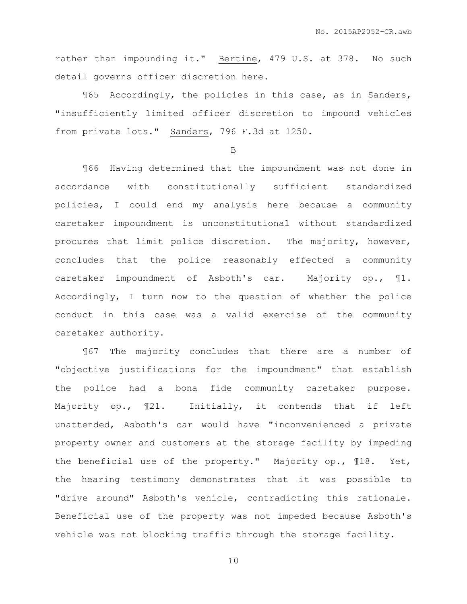rather than impounding it." Bertine, 479 U.S. at 378. No such detail governs officer discretion here.

¶65 Accordingly, the policies in this case, as in Sanders, "insufficiently limited officer discretion to impound vehicles from private lots." Sanders, 796 F.3d at 1250.

B

¶66 Having determined that the impoundment was not done in accordance with constitutionally sufficient standardized policies, I could end my analysis here because a community caretaker impoundment is unconstitutional without standardized procures that limit police discretion. The majority, however, concludes that the police reasonably effected a community caretaker impoundment of Asboth's car. Majority op., ¶1. Accordingly, I turn now to the question of whether the police conduct in this case was a valid exercise of the community caretaker authority.

¶67 The majority concludes that there are a number of "objective justifications for the impoundment" that establish the police had a bona fide community caretaker purpose. Majority op., ¶21. Initially, it contends that if left unattended, Asboth's car would have "inconvenienced a private property owner and customers at the storage facility by impeding the beneficial use of the property." Majority op., ¶18. Yet, the hearing testimony demonstrates that it was possible to "drive around" Asboth's vehicle, contradicting this rationale. Beneficial use of the property was not impeded because Asboth's vehicle was not blocking traffic through the storage facility.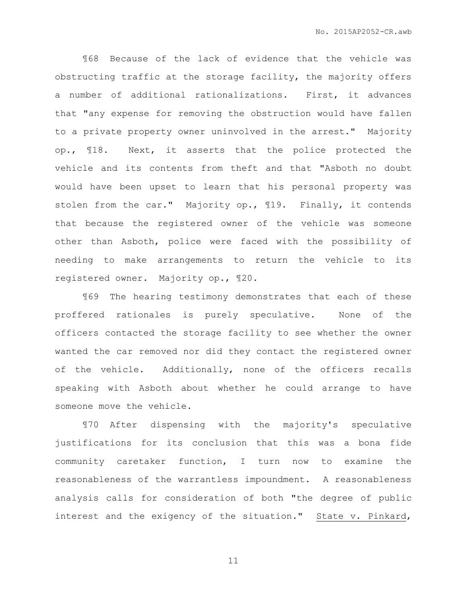¶68 Because of the lack of evidence that the vehicle was obstructing traffic at the storage facility, the majority offers a number of additional rationalizations. First, it advances that "any expense for removing the obstruction would have fallen to a private property owner uninvolved in the arrest." Majority op., ¶18. Next, it asserts that the police protected the vehicle and its contents from theft and that "Asboth no doubt would have been upset to learn that his personal property was stolen from the car." Majority op., ¶19. Finally, it contends that because the registered owner of the vehicle was someone other than Asboth, police were faced with the possibility of needing to make arrangements to return the vehicle to its registered owner. Majority op., ¶20.

¶69 The hearing testimony demonstrates that each of these proffered rationales is purely speculative. None of the officers contacted the storage facility to see whether the owner wanted the car removed nor did they contact the registered owner of the vehicle. Additionally, none of the officers recalls speaking with Asboth about whether he could arrange to have someone move the vehicle.

¶70 After dispensing with the majority's speculative justifications for its conclusion that this was a bona fide community caretaker function, I turn now to examine the reasonableness of the warrantless impoundment. A reasonableness analysis calls for consideration of both "the degree of public interest and the exigency of the situation." State v. Pinkard,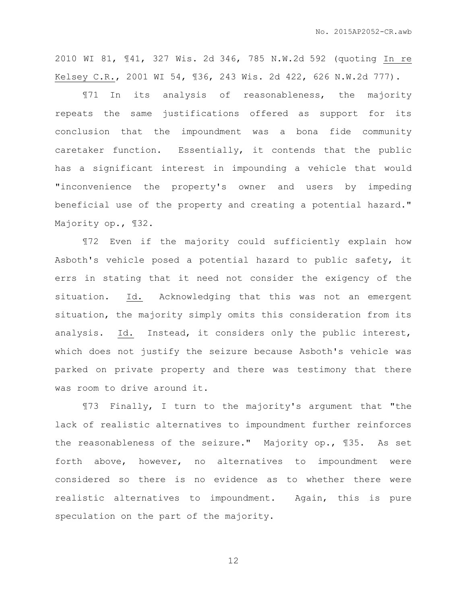2010 WI 81, ¶41, 327 Wis. 2d 346, 785 N.W.2d 592 (quoting In re Kelsey C.R., 2001 WI 54, ¶36, 243 Wis. 2d 422, 626 N.W.2d 777).

¶71 In its analysis of reasonableness, the majority repeats the same justifications offered as support for its conclusion that the impoundment was a bona fide community caretaker function. Essentially, it contends that the public has a significant interest in impounding a vehicle that would "inconvenience the property's owner and users by impeding beneficial use of the property and creating a potential hazard." Majority op., ¶32.

¶72 Even if the majority could sufficiently explain how Asboth's vehicle posed a potential hazard to public safety, it errs in stating that it need not consider the exigency of the situation. Id. Acknowledging that this was not an emergent situation, the majority simply omits this consideration from its analysis. Id. Instead, it considers only the public interest, which does not justify the seizure because Asboth's vehicle was parked on private property and there was testimony that there was room to drive around it.

¶73 Finally, I turn to the majority's argument that "the lack of realistic alternatives to impoundment further reinforces the reasonableness of the seizure." Majority op., ¶35. As set forth above, however, no alternatives to impoundment were considered so there is no evidence as to whether there were realistic alternatives to impoundment. Again, this is pure speculation on the part of the majority.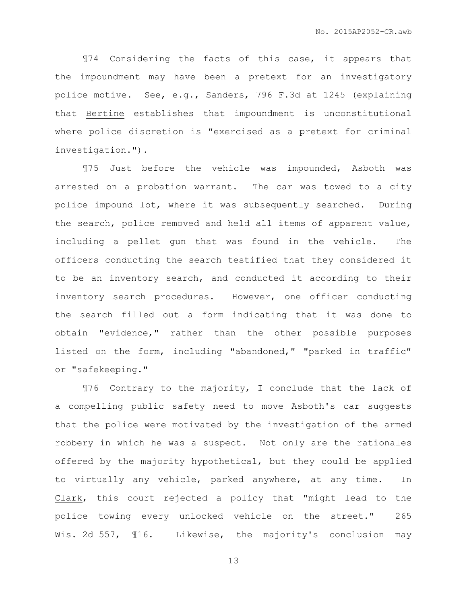¶74 Considering the facts of this case, it appears that the impoundment may have been a pretext for an investigatory police motive. See, e.g., Sanders, 796 F.3d at 1245 (explaining that Bertine establishes that impoundment is unconstitutional where police discretion is "exercised as a pretext for criminal investigation.").

¶75 Just before the vehicle was impounded, Asboth was arrested on a probation warrant. The car was towed to a city police impound lot, where it was subsequently searched. During the search, police removed and held all items of apparent value, including a pellet gun that was found in the vehicle. The officers conducting the search testified that they considered it to be an inventory search, and conducted it according to their inventory search procedures. However, one officer conducting the search filled out a form indicating that it was done to obtain "evidence," rather than the other possible purposes listed on the form, including "abandoned," "parked in traffic" or "safekeeping."

¶76 Contrary to the majority, I conclude that the lack of a compelling public safety need to move Asboth's car suggests that the police were motivated by the investigation of the armed robbery in which he was a suspect. Not only are the rationales offered by the majority hypothetical, but they could be applied to virtually any vehicle, parked anywhere, at any time. In Clark, this court rejected a policy that "might lead to the police towing every unlocked vehicle on the street." 265 Wis. 2d 557, 116. Likewise, the majority's conclusion may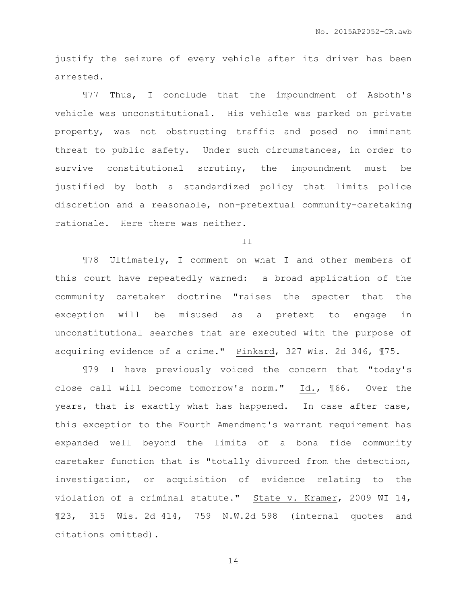justify the seizure of every vehicle after its driver has been arrested.

¶77 Thus, I conclude that the impoundment of Asboth's vehicle was unconstitutional. His vehicle was parked on private property, was not obstructing traffic and posed no imminent threat to public safety. Under such circumstances, in order to survive constitutional scrutiny, the impoundment must be justified by both a standardized policy that limits police discretion and a reasonable, non-pretextual community-caretaking rationale. Here there was neither.

T<sub>T</sub>

¶78 Ultimately, I comment on what I and other members of this court have repeatedly warned: a broad application of the community caretaker doctrine "raises the specter that the exception will be misused as a pretext to engage in unconstitutional searches that are executed with the purpose of acquiring evidence of a crime." Pinkard, 327 Wis. 2d 346, ¶75.

¶79 I have previously voiced the concern that "today's close call will become tomorrow's norm." Id., ¶66. Over the years, that is exactly what has happened. In case after case, this exception to the Fourth Amendment's warrant requirement has expanded well beyond the limits of a bona fide community caretaker function that is "totally divorced from the detection, investigation, or acquisition of evidence relating to the violation of a criminal statute." State v. Kramer, 2009 WI 14, ¶23, 315 Wis. 2d 414, 759 N.W.2d 598 (internal quotes and citations omitted).